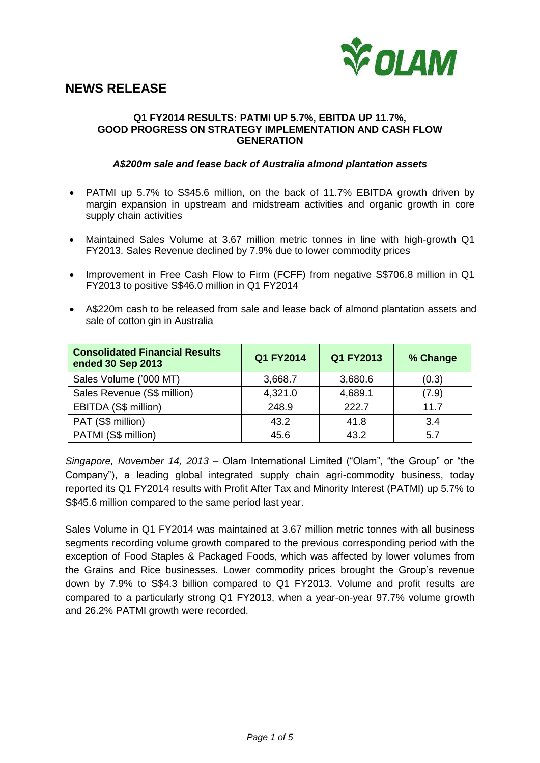

# **NEWS RELEASE**

## **Q1 FY2014 RESULTS: PATMI UP 5.7%, EBITDA UP 11.7%, GOOD PROGRESS ON STRATEGY IMPLEMENTATION AND CASH FLOW GENERATION**

# *A\$200m sale and lease back of Australia almond plantation assets*

- PATMI up 5.7% to S\$45.6 million, on the back of 11.7% EBITDA growth driven by margin expansion in upstream and midstream activities and organic growth in core supply chain activities
- Maintained Sales Volume at 3.67 million metric tonnes in line with high-growth Q1 FY2013. Sales Revenue declined by 7.9% due to lower commodity prices
- Improvement in Free Cash Flow to Firm (FCFF) from negative S\$706.8 million in Q1 FY2013 to positive S\$46.0 million in Q1 FY2014
- A\$220m cash to be released from sale and lease back of almond plantation assets and sale of cotton gin in Australia

| <b>Consolidated Financial Results</b><br>ended 30 Sep 2013 | Q1 FY2014 | Q1 FY2013 | % Change |
|------------------------------------------------------------|-----------|-----------|----------|
| Sales Volume ('000 MT)                                     | 3,668.7   | 3,680.6   | (0.3)    |
| Sales Revenue (S\$ million)                                | 4,321.0   | 4,689.1   | (7.9)    |
| EBITDA (S\$ million)                                       | 248.9     | 222.7     | 11.7     |
| PAT (S\$ million)                                          | 43.2      | 41.8      | 3.4      |
| PATMI (S\$ million)                                        | 45.6      | 43.2      | 5.7      |

*Singapore, November 14, 2013 –* Olam International Limited ("Olam", "the Group" or "the Company"), a leading global integrated supply chain agri-commodity business, today reported its Q1 FY2014 results with Profit After Tax and Minority Interest (PATMI) up 5.7% to S\$45.6 million compared to the same period last year.

Sales Volume in Q1 FY2014 was maintained at 3.67 million metric tonnes with all business segments recording volume growth compared to the previous corresponding period with the exception of Food Staples & Packaged Foods, which was affected by lower volumes from the Grains and Rice businesses. Lower commodity prices brought the Group's revenue down by 7.9% to S\$4.3 billion compared to Q1 FY2013. Volume and profit results are compared to a particularly strong Q1 FY2013, when a year-on-year 97.7% volume growth and 26.2% PATMI growth were recorded.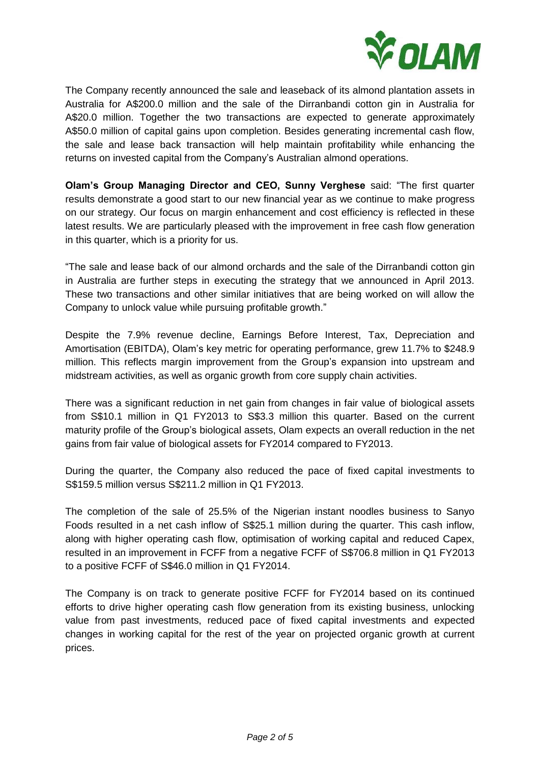

The Company recently announced the sale and leaseback of its almond plantation assets in Australia for A\$200.0 million and the sale of the Dirranbandi cotton gin in Australia for A\$20.0 million. Together the two transactions are expected to generate approximately A\$50.0 million of capital gains upon completion. Besides generating incremental cash flow, the sale and lease back transaction will help maintain profitability while enhancing the returns on invested capital from the Company's Australian almond operations.

**Olam's Group Managing Director and CEO, Sunny Verghese** said: "The first quarter results demonstrate a good start to our new financial year as we continue to make progress on our strategy. Our focus on margin enhancement and cost efficiency is reflected in these latest results. We are particularly pleased with the improvement in free cash flow generation in this quarter, which is a priority for us.

"The sale and lease back of our almond orchards and the sale of the Dirranbandi cotton gin in Australia are further steps in executing the strategy that we announced in April 2013. These two transactions and other similar initiatives that are being worked on will allow the Company to unlock value while pursuing profitable growth."

Despite the 7.9% revenue decline, Earnings Before Interest, Tax, Depreciation and Amortisation (EBITDA), Olam's key metric for operating performance, grew 11.7% to \$248.9 million. This reflects margin improvement from the Group's expansion into upstream and midstream activities, as well as organic growth from core supply chain activities.

There was a significant reduction in net gain from changes in fair value of biological assets from S\$10.1 million in Q1 FY2013 to S\$3.3 million this quarter. Based on the current maturity profile of the Group's biological assets, Olam expects an overall reduction in the net gains from fair value of biological assets for FY2014 compared to FY2013.

During the quarter, the Company also reduced the pace of fixed capital investments to S\$159.5 million versus S\$211.2 million in Q1 FY2013.

The completion of the sale of 25.5% of the Nigerian instant noodles business to Sanyo Foods resulted in a net cash inflow of S\$25.1 million during the quarter. This cash inflow, along with higher operating cash flow, optimisation of working capital and reduced Capex, resulted in an improvement in FCFF from a negative FCFF of S\$706.8 million in Q1 FY2013 to a positive FCFF of S\$46.0 million in Q1 FY2014.

The Company is on track to generate positive FCFF for FY2014 based on its continued efforts to drive higher operating cash flow generation from its existing business, unlocking value from past investments, reduced pace of fixed capital investments and expected changes in working capital for the rest of the year on projected organic growth at current prices.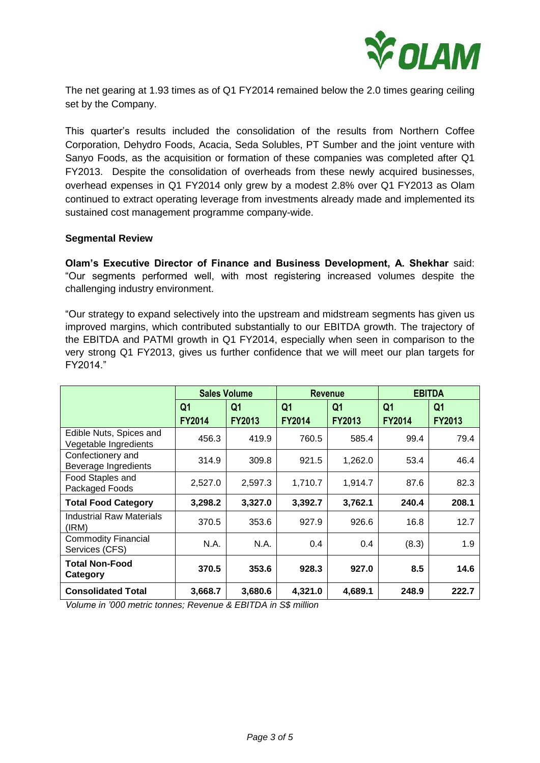

The net gearing at 1.93 times as of Q1 FY2014 remained below the 2.0 times gearing ceiling set by the Company.

This quarter's results included the consolidation of the results from Northern Coffee Corporation, Dehydro Foods, Acacia, Seda Solubles, PT Sumber and the joint venture with Sanyo Foods, as the acquisition or formation of these companies was completed after Q1 FY2013. Despite the consolidation of overheads from these newly acquired businesses, overhead expenses in Q1 FY2014 only grew by a modest 2.8% over Q1 FY2013 as Olam continued to extract operating leverage from investments already made and implemented its sustained cost management programme company-wide.

# **Segmental Review**

**Olam's Executive Director of Finance and Business Development, A. Shekhar** said: "Our segments performed well, with most registering increased volumes despite the challenging industry environment.

"Our strategy to expand selectively into the upstream and midstream segments has given us improved margins, which contributed substantially to our EBITDA growth. The trajectory of the EBITDA and PATMI growth in Q1 FY2014, especially when seen in comparison to the very strong Q1 FY2013, gives us further confidence that we will meet our plan targets for FY2014."

|                                                  | <b>Sales Volume</b> |                | <b>Revenue</b> |                | <b>EBITDA</b>  |                |
|--------------------------------------------------|---------------------|----------------|----------------|----------------|----------------|----------------|
|                                                  | Q <sub>1</sub>      | Q <sub>1</sub> | Q <sub>1</sub> | Q <sub>1</sub> | Q <sub>1</sub> | Q <sub>1</sub> |
|                                                  | <b>FY2014</b>       | <b>FY2013</b>  | <b>FY2014</b>  | <b>FY2013</b>  | <b>FY2014</b>  | <b>FY2013</b>  |
| Edible Nuts, Spices and<br>Vegetable Ingredients | 456.3               | 419.9          | 760.5          | 585.4          | 99.4           | 79.4           |
| Confectionery and<br>Beverage Ingredients        | 314.9               | 309.8          | 921.5          | 1,262.0        | 53.4           | 46.4           |
| Food Staples and<br>Packaged Foods               | 2,527.0             | 2,597.3        | 1,710.7        | 1,914.7        | 87.6           | 82.3           |
| <b>Total Food Category</b>                       | 3,298.2             | 3,327.0        | 3,392.7        | 3,762.1        | 240.4          | 208.1          |
| <b>Industrial Raw Materials</b><br>(IRM)         | 370.5               | 353.6          | 927.9          | 926.6          | 16.8           | 12.7           |
| <b>Commodity Financial</b><br>Services (CFS)     | N.A.                | N.A.           | 0.4            | 0.4            | (8.3)          | 1.9            |
| <b>Total Non-Food</b><br>Category                | 370.5               | 353.6          | 928.3          | 927.0          | 8.5            | 14.6           |
| <b>Consolidated Total</b>                        | 3,668.7             | 3,680.6        | 4,321.0        | 4,689.1        | 248.9          | 222.7          |

*Volume in '000 metric tonnes; Revenue & EBITDA in S\$ million*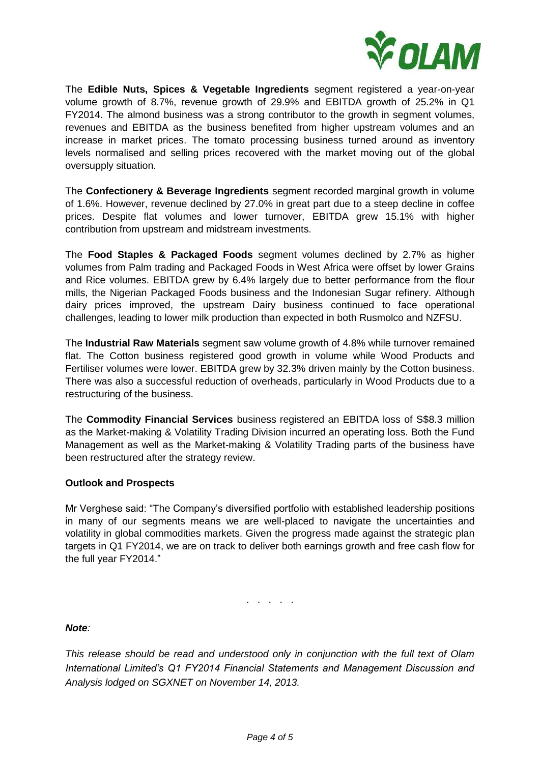

The **Edible Nuts, Spices & Vegetable Ingredients** segment registered a year-on-year volume growth of 8.7%, revenue growth of 29.9% and EBITDA growth of 25.2% in Q1 FY2014. The almond business was a strong contributor to the growth in segment volumes, revenues and EBITDA as the business benefited from higher upstream volumes and an increase in market prices. The tomato processing business turned around as inventory levels normalised and selling prices recovered with the market moving out of the global oversupply situation.

The **Confectionery & Beverage Ingredients** segment recorded marginal growth in volume of 1.6%. However, revenue declined by 27.0% in great part due to a steep decline in coffee prices. Despite flat volumes and lower turnover, EBITDA grew 15.1% with higher contribution from upstream and midstream investments.

The **Food Staples & Packaged Foods** segment volumes declined by 2.7% as higher volumes from Palm trading and Packaged Foods in West Africa were offset by lower Grains and Rice volumes. EBITDA grew by 6.4% largely due to better performance from the flour mills, the Nigerian Packaged Foods business and the Indonesian Sugar refinery. Although dairy prices improved, the upstream Dairy business continued to face operational challenges, leading to lower milk production than expected in both Rusmolco and NZFSU.

The **Industrial Raw Materials** segment saw volume growth of 4.8% while turnover remained flat. The Cotton business registered good growth in volume while Wood Products and Fertiliser volumes were lower. EBITDA grew by 32.3% driven mainly by the Cotton business. There was also a successful reduction of overheads, particularly in Wood Products due to a restructuring of the business.

The **Commodity Financial Services** business registered an EBITDA loss of S\$8.3 million as the Market-making & Volatility Trading Division incurred an operating loss. Both the Fund Management as well as the Market-making & Volatility Trading parts of the business have been restructured after the strategy review.

# **Outlook and Prospects**

Mr Verghese said: "The Company's diversified portfolio with established leadership positions in many of our segments means we are well-placed to navigate the uncertainties and volatility in global commodities markets. Given the progress made against the strategic plan targets in Q1 FY2014, we are on track to deliver both earnings growth and free cash flow for the full year FY2014."

. . . . .

# *Note:*

*This release should be read and understood only in conjunction with the full text of Olam International Limited's Q1 FY2014 Financial Statements and Management Discussion and Analysis lodged on SGXNET on November 14, 2013.*